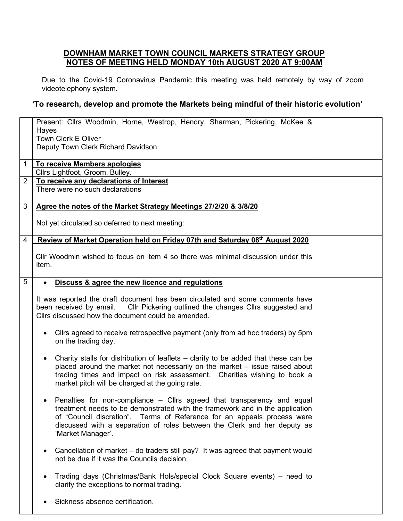## **DOWNHAM MARKET TOWN COUNCIL MARKETS STRATEGY GROUP NOTES OF MEETING HELD MONDAY 10th AUGUST 2020 AT 9:00AM**

Due to the Covid-19 Coronavirus Pandemic this meeting was held remotely by way of zoom videotelephony system.

## **'To research, develop and promote the Markets being mindful of their historic evolution'**

|                | Present: Cllrs Woodmin, Horne, Westrop, Hendry, Sharman, Pickering, McKee &<br>Hayes                                                                                                                                                                                                                                                  |  |  |  |
|----------------|---------------------------------------------------------------------------------------------------------------------------------------------------------------------------------------------------------------------------------------------------------------------------------------------------------------------------------------|--|--|--|
|                | Town Clerk E Oliver<br>Deputy Town Clerk Richard Davidson                                                                                                                                                                                                                                                                             |  |  |  |
| $\mathbf{1}$   | To receive Members apologies<br>Cllrs Lightfoot, Groom, Bulley.                                                                                                                                                                                                                                                                       |  |  |  |
| $\overline{2}$ | To receive any declarations of Interest                                                                                                                                                                                                                                                                                               |  |  |  |
|                | There were no such declarations                                                                                                                                                                                                                                                                                                       |  |  |  |
| 3              | Agree the notes of the Market Strategy Meetings 27/2/20 & 3/8/20                                                                                                                                                                                                                                                                      |  |  |  |
|                | Not yet circulated so deferred to next meeting:                                                                                                                                                                                                                                                                                       |  |  |  |
| $\overline{4}$ | Review of Market Operation held on Friday 07th and Saturday 08th August 2020                                                                                                                                                                                                                                                          |  |  |  |
|                | CIIr Woodmin wished to focus on item 4 so there was minimal discussion under this<br>item.                                                                                                                                                                                                                                            |  |  |  |
| 5              | Discuss & agree the new licence and regulations<br>$\bullet$                                                                                                                                                                                                                                                                          |  |  |  |
|                | It was reported the draft document has been circulated and some comments have<br>been received by email. Cllr Pickering outlined the changes Cllrs suggested and<br>Clirs discussed how the document could be amended.                                                                                                                |  |  |  |
|                | Clirs agreed to receive retrospective payment (only from ad hoc traders) by 5pm<br>on the trading day.                                                                                                                                                                                                                                |  |  |  |
|                | Charity stalls for distribution of leaflets – clarity to be added that these can be<br>$\bullet$<br>placed around the market not necessarily on the market - issue raised about<br>trading times and impact on risk assessment. Charities wishing to book a<br>market pitch will be charged at the going rate.                        |  |  |  |
|                | • Penalties for non-compliance – Cllrs agreed that transparency and equal<br>treatment needs to be demonstrated with the framework and in the application<br>of "Council discretion". Terms of Reference for an appeals process were<br>discussed with a separation of roles between the Clerk and her deputy as<br>'Market Manager'. |  |  |  |
|                | Cancellation of market – do traders still pay? It was agreed that payment would<br>$\bullet$<br>not be due if it was the Councils decision.                                                                                                                                                                                           |  |  |  |
|                | Trading days (Christmas/Bank Hols/special Clock Square events) – need to<br>٠<br>clarify the exceptions to normal trading.                                                                                                                                                                                                            |  |  |  |
|                | Sickness absence certification.                                                                                                                                                                                                                                                                                                       |  |  |  |